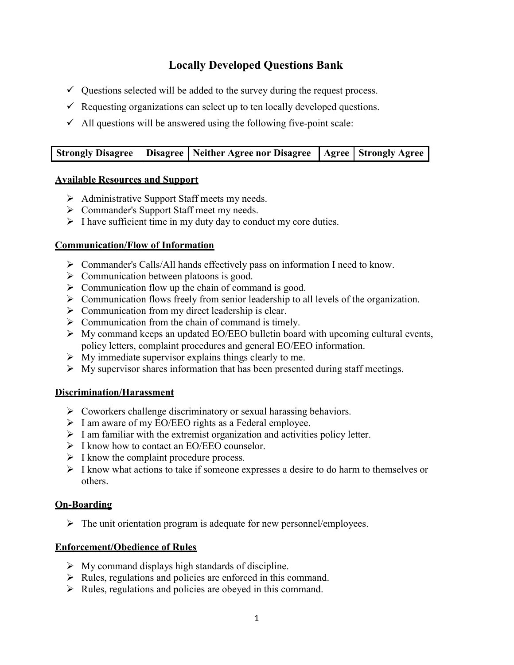# Locally Developed Questions Bank

- $\checkmark$  Questions selected will be added to the survey during the request process.
- $\checkmark$  Requesting organizations can select up to ten locally developed questions.
- $\checkmark$  All questions will be answered using the following five-point scale:

|  | Strongly Disagree   Disagree   Neither Agree nor Disagree   Agree   Strongly Agree |  |
|--|------------------------------------------------------------------------------------|--|

#### Available Resources and Support

- $\triangleright$  Administrative Support Staff meets my needs.
- Commander's Support Staff meet my needs.
- $\triangleright$  I have sufficient time in my duty day to conduct my core duties.

## Communication/Flow of Information

- $\triangleright$  Commander's Calls/All hands effectively pass on information I need to know.
- $\triangleright$  Communication between platoons is good.
- $\triangleright$  Communication flow up the chain of command is good.
- $\triangleright$  Communication flows freely from senior leadership to all levels of the organization.
- $\triangleright$  Communication from my direct leadership is clear.
- $\triangleright$  Communication from the chain of command is timely.
- $\triangleright$  My command keeps an updated EO/EEO bulletin board with upcoming cultural events, policy letters, complaint procedures and general EO/EEO information.
- $\triangleright$  My immediate supervisor explains things clearly to me.
- $\triangleright$  My supervisor shares information that has been presented during staff meetings.

### Discrimination/Harassment

- $\triangleright$  Coworkers challenge discriminatory or sexual harassing behaviors.
- $\triangleright$  I am aware of my EO/EEO rights as a Federal employee.
- $\triangleright$  I am familiar with the extremist organization and activities policy letter.
- $\triangleright$  I know how to contact an EO/EEO counselor.
- $\triangleright$  I know the complaint procedure process.
- $\triangleright$  I know what actions to take if someone expresses a desire to do harm to themselves or others.

### On-Boarding

 $\triangleright$  The unit orientation program is adequate for new personnel/employees.

### Enforcement/Obedience of Rules

- $\triangleright$  My command displays high standards of discipline.
- $\triangleright$  Rules, regulations and policies are enforced in this command.
- $\triangleright$  Rules, regulations and policies are obeyed in this command.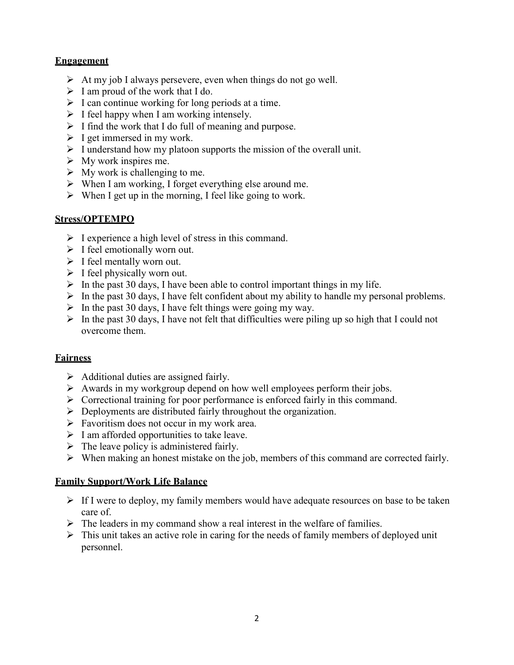## Engagement

- $\triangleright$  At my job I always persevere, even when things do not go well.
- $\triangleright$  I am proud of the work that I do.
- $\triangleright$  I can continue working for long periods at a time.
- $\triangleright$  I feel happy when I am working intensely.
- $\triangleright$  I find the work that I do full of meaning and purpose.
- $\triangleright$  I get immersed in my work.
- $\triangleright$  I understand how my platoon supports the mission of the overall unit.
- $\triangleright$  My work inspires me.
- $\triangleright$  My work is challenging to me.
- $\triangleright$  When I am working, I forget everything else around me.
- $\triangleright$  When I get up in the morning, I feel like going to work.

## Stress/OPTEMPO

- $\triangleright$  I experience a high level of stress in this command.
- $\triangleright$  I feel emotionally worn out.
- $\triangleright$  I feel mentally worn out.
- $\triangleright$  I feel physically worn out.
- $\triangleright$  In the past 30 days, I have been able to control important things in my life.
- $\triangleright$  In the past 30 days, I have felt confident about my ability to handle my personal problems.
- $\triangleright$  In the past 30 days, I have felt things were going my way.
- $\triangleright$  In the past 30 days, I have not felt that difficulties were piling up so high that I could not overcome them.

## **Fairness**

- $\triangleright$  Additional duties are assigned fairly.
- $\triangleright$  Awards in my workgroup depend on how well employees perform their jobs.
- $\triangleright$  Correctional training for poor performance is enforced fairly in this command.
- $\triangleright$  Deployments are distributed fairly throughout the organization.
- $\triangleright$  Favoritism does not occur in my work area.
- $\triangleright$  I am afforded opportunities to take leave.
- $\triangleright$  The leave policy is administered fairly.
- $\triangleright$  When making an honest mistake on the job, members of this command are corrected fairly.

### Family Support/Work Life Balance

- $\triangleright$  If I were to deploy, my family members would have adequate resources on base to be taken care of.
- $\triangleright$  The leaders in my command show a real interest in the welfare of families.
- $\triangleright$  This unit takes an active role in caring for the needs of family members of deployed unit personnel.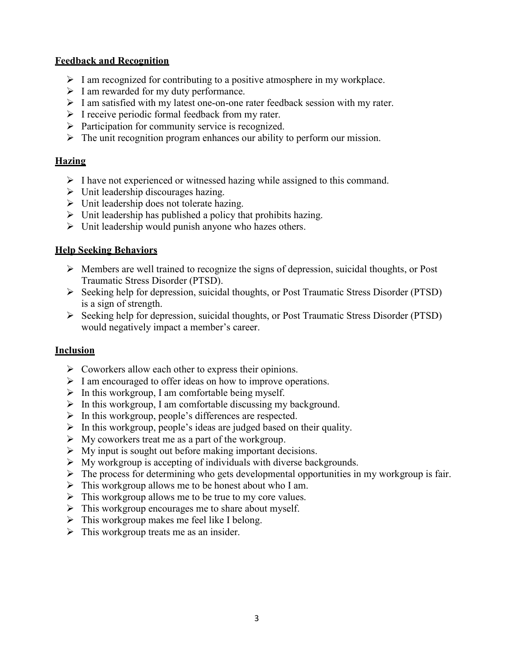## Feedback and Recognition

- $\triangleright$  I am recognized for contributing to a positive atmosphere in my workplace.
- $\triangleright$  I am rewarded for my duty performance.
- $\triangleright$  I am satisfied with my latest one-on-one rater feedback session with my rater.
- $\triangleright$  I receive periodic formal feedback from my rater.
- $\triangleright$  Participation for community service is recognized.
- $\triangleright$  The unit recognition program enhances our ability to perform our mission.

## **Hazing**

- $\triangleright$  I have not experienced or witnessed hazing while assigned to this command.
- $\triangleright$  Unit leadership discourages hazing.
- $\triangleright$  Unit leadership does not tolerate hazing.
- $\triangleright$  Unit leadership has published a policy that prohibits hazing.
- $\triangleright$  Unit leadership would punish anyone who hazes others.

## Help Seeking Behaviors

- Members are well trained to recognize the signs of depression, suicidal thoughts, or Post Traumatic Stress Disorder (PTSD).
- Seeking help for depression, suicidal thoughts, or Post Traumatic Stress Disorder (PTSD) is a sign of strength.
- Seeking help for depression, suicidal thoughts, or Post Traumatic Stress Disorder (PTSD) would negatively impact a member's career.

### **Inclusion**

- $\triangleright$  Coworkers allow each other to express their opinions.
- $\triangleright$  I am encouraged to offer ideas on how to improve operations.
- $\triangleright$  In this workgroup, I am comfortable being myself.
- $\triangleright$  In this workgroup, I am comfortable discussing my background.
- $\triangleright$  In this workgroup, people's differences are respected.
- $\triangleright$  In this workgroup, people's ideas are judged based on their quality.
- $\triangleright$  My coworkers treat me as a part of the workgroup.
- $\triangleright$  My input is sought out before making important decisions.
- $\triangleright$  My workgroup is accepting of individuals with diverse backgrounds.
- $\triangleright$  The process for determining who gets developmental opportunities in my workgroup is fair.
- $\triangleright$  This workgroup allows me to be honest about who I am.
- $\triangleright$  This workgroup allows me to be true to my core values.
- $\triangleright$  This workgroup encourages me to share about myself.
- $\triangleright$  This workgroup makes me feel like I belong.
- $\triangleright$  This workgroup treats me as an insider.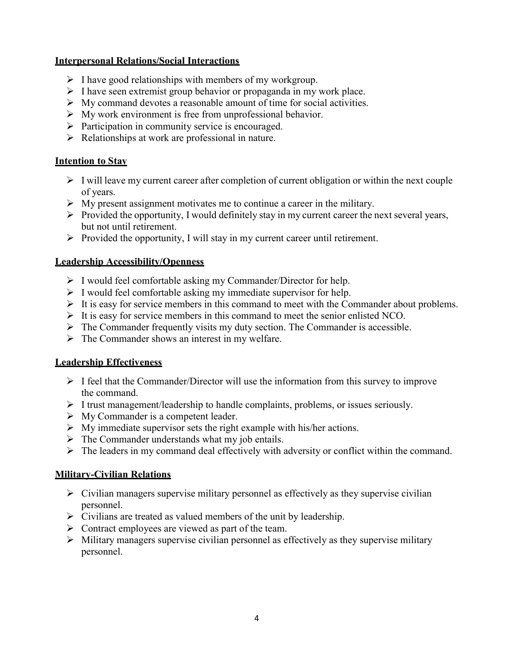## Interpersonal Relations/Social Interactions

- $\triangleright$  I have good relationships with members of my workgroup.
- $\triangleright$  I have seen extremist group behavior or propaganda in my work place.
- $\triangleright$  My command devotes a reasonable amount of time for social activities.
- $\triangleright$  My work environment is free from unprofessional behavior.
- $\triangleright$  Participation in community service is encouraged.
- $\triangleright$  Relationships at work are professional in nature.

## Intention to Stay

- $\triangleright$  I will leave my current career after completion of current obligation or within the next couple of years.
- $\triangleright$  My present assignment motivates me to continue a career in the military.
- $\triangleright$  Provided the opportunity, I would definitely stay in my current career the next several years, but not until retirement.
- $\triangleright$  Provided the opportunity, I will stay in my current career until retirement.

## Leadership Accessibility/Openness

- $\triangleright$  I would feel comfortable asking my Commander/Director for help.
- $\triangleright$  I would feel comfortable asking my immediate supervisor for help.
- $\triangleright$  It is easy for service members in this command to meet with the Commander about problems.
- $\triangleright$  It is easy for service members in this command to meet the senior enlisted NCO.
- $\triangleright$  The Commander frequently visits my duty section. The Commander is accessible.
- $\triangleright$  The Commander shows an interest in my welfare.

## Leadership Effectiveness

- $\triangleright$  I feel that the Commander/Director will use the information from this survey to improve the command.
- $\triangleright$  I trust management/leadership to handle complaints, problems, or issues seriously.
- $\triangleright$  My Commander is a competent leader.
- $\triangleright$  My immediate supervisor sets the right example with his/her actions.
- $\triangleright$  The Commander understands what my job entails.
- $\triangleright$  The leaders in my command deal effectively with adversity or conflict within the command.

# Military-Civilian Relations

- $\triangleright$  Civilian managers supervise military personnel as effectively as they supervise civilian personnel.
- $\triangleright$  Civilians are treated as valued members of the unit by leadership.
- $\triangleright$  Contract employees are viewed as part of the team.
- $\triangleright$  Military managers supervise civilian personnel as effectively as they supervise military personnel.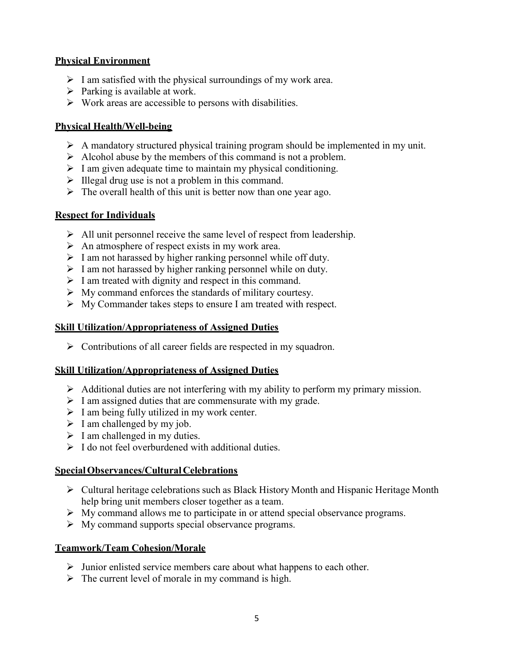## Physical Environment

- $\triangleright$  I am satisfied with the physical surroundings of my work area.
- $\triangleright$  Parking is available at work.
- $\triangleright$  Work areas are accessible to persons with disabilities.

## Physical Health/Well-being

- $\triangleright$  A mandatory structured physical training program should be implemented in my unit.
- $\triangleright$  Alcohol abuse by the members of this command is not a problem.
- $\triangleright$  I am given adequate time to maintain my physical conditioning.
- $\triangleright$  Illegal drug use is not a problem in this command.
- $\triangleright$  The overall health of this unit is better now than one year ago.

## Respect for Individuals

- $\triangleright$  All unit personnel receive the same level of respect from leadership.
- $\triangleright$  An atmosphere of respect exists in my work area.
- $\triangleright$  I am not harassed by higher ranking personnel while off duty.
- $\triangleright$  I am not harassed by higher ranking personnel while on duty.
- $\triangleright$  I am treated with dignity and respect in this command.
- $\triangleright$  My command enforces the standards of military courtesy.
- $\triangleright$  My Commander takes steps to ensure I am treated with respect.

### Skill Utilization/Appropriateness of Assigned Duties

 $\triangleright$  Contributions of all career fields are respected in my squadron.

### Skill Utilization/Appropriateness of Assigned Duties

- $\triangleright$  Additional duties are not interfering with my ability to perform my primary mission.
- $\triangleright$  I am assigned duties that are commensurate with my grade.
- $\triangleright$  I am being fully utilized in my work center.
- $\triangleright$  I am challenged by my job.
- $\triangleright$  I am challenged in my duties.
- $\triangleright$  I do not feel overburdened with additional duties.

### Special Observances/Cultural Celebrations

- $\triangleright$  Cultural heritage celebrations such as Black History Month and Hispanic Heritage Month help bring unit members closer together as a team.
- $\triangleright$  My command allows me to participate in or attend special observance programs.
- $\triangleright$  My command supports special observance programs.

### Teamwork/Team Cohesion/Morale

- $\triangleright$  Junior enlisted service members care about what happens to each other.
- $\triangleright$  The current level of morale in my command is high.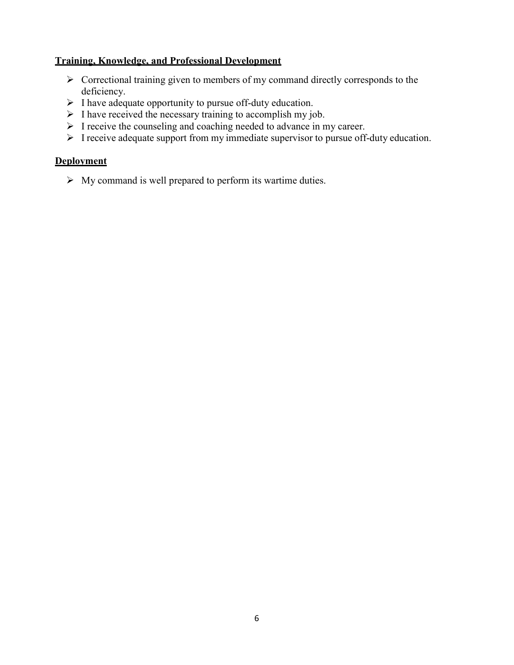## Training, Knowledge, and Professional Development

- $\triangleright$  Correctional training given to members of my command directly corresponds to the deficiency.
- $\triangleright$  I have adequate opportunity to pursue off-duty education.
- $\triangleright$  I have received the necessary training to accomplish my job.
- I receive the counseling and coaching needed to advance in my career.
- $\triangleright$  I receive adequate support from my immediate supervisor to pursue off-duty education.

## **Deployment**

 $\triangleright$  My command is well prepared to perform its wartime duties.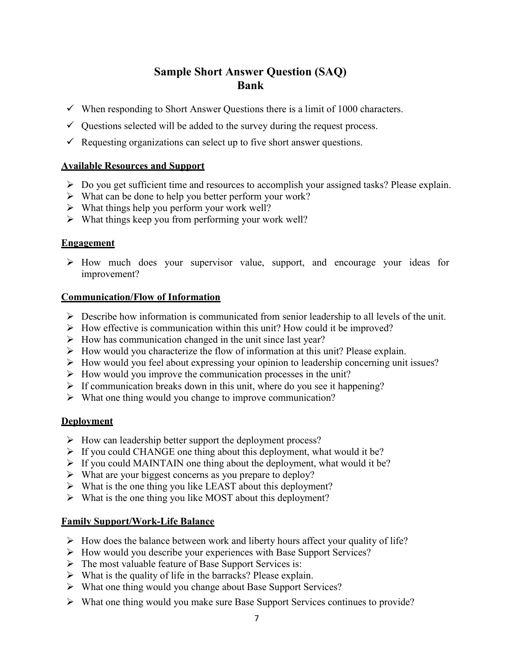# Sample Short Answer Question (SAQ) Bank

- $\checkmark$  When responding to Short Answer Questions there is a limit of 1000 characters.
- $\checkmark$  Questions selected will be added to the survey during the request process.
- $\checkmark$  Requesting organizations can select up to five short answer questions.

## Available Resources and Support

- $\triangleright$  Do you get sufficient time and resources to accomplish your assigned tasks? Please explain.
- $\triangleright$  What can be done to help you better perform your work?
- $\triangleright$  What things help you perform your work well?
- $\triangleright$  What things keep you from performing your work well?

### **Engagement**

 $\triangleright$  How much does your supervisor value, support, and encourage your ideas for improvement?

### Communication/Flow of Information

- $\triangleright$  Describe how information is communicated from senior leadership to all levels of the unit.
- $\triangleright$  How effective is communication within this unit? How could it be improved?
- $\triangleright$  How has communication changed in the unit since last year?
- $\triangleright$  How would you characterize the flow of information at this unit? Please explain.
- $\triangleright$  How would you feel about expressing your opinion to leadership concerning unit issues?
- $\triangleright$  How would you improve the communication processes in the unit?
- $\triangleright$  If communication breaks down in this unit, where do you see it happening?
- $\triangleright$  What one thing would you change to improve communication?

### **Deployment**

- $\triangleright$  How can leadership better support the deployment process?
- $\triangleright$  If you could CHANGE one thing about this deployment, what would it be?
- $\triangleright$  If you could MAINTAIN one thing about the deployment, what would it be?
- $\triangleright$  What are your biggest concerns as you prepare to deploy?
- $\triangleright$  What is the one thing you like LEAST about this deployment?
- $\triangleright$  What is the one thing you like MOST about this deployment?

## Family Support/Work-Life Balance

- $\triangleright$  How does the balance between work and liberty hours affect your quality of life?
- How would you describe your experiences with Base Support Services?
- $\triangleright$  The most valuable feature of Base Support Services is:
- $\triangleright$  What is the quality of life in the barracks? Please explain.
- What one thing would you change about Base Support Services?
- $\triangleright$  What one thing would you make sure Base Support Services continues to provide?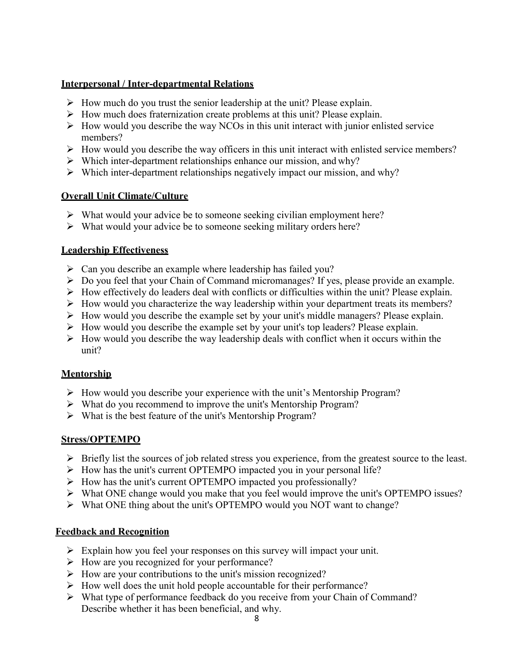## Interpersonal / Inter-departmental Relations

- $\triangleright$  How much do you trust the senior leadership at the unit? Please explain.
- $\triangleright$  How much does fraternization create problems at this unit? Please explain.
- $\triangleright$  How would you describe the way NCOs in this unit interact with junior enlisted service members?
- $\triangleright$  How would you describe the way officers in this unit interact with enlisted service members?
- $\triangleright$  Which inter-department relationships enhance our mission, and why?
- $\triangleright$  Which inter-department relationships negatively impact our mission, and why?

## Overall Unit Climate/Culture

- $\triangleright$  What would your advice be to someone seeking civilian employment here?
- $\triangleright$  What would your advice be to someone seeking military orders here?

### Leadership Effectiveness

- $\triangleright$  Can you describe an example where leadership has failed you?
- $\triangleright$  Do you feel that your Chain of Command micromanages? If yes, please provide an example.
- $\triangleright$  How effectively do leaders deal with conflicts or difficulties within the unit? Please explain.
- $\triangleright$  How would you characterize the way leadership within your department treats its members?
- $\triangleright$  How would you describe the example set by your unit's middle managers? Please explain.
- $\triangleright$  How would you describe the example set by your unit's top leaders? Please explain.
- $\triangleright$  How would you describe the way leadership deals with conflict when it occurs within the unit?

## Mentorship

- $\triangleright$  How would you describe your experience with the unit's Mentorship Program?
- What do you recommend to improve the unit's Mentorship Program?
- What is the best feature of the unit's Mentorship Program?

## Stress/OPTEMPO

- $\triangleright$  Briefly list the sources of job related stress you experience, from the greatest source to the least.
- $\triangleright$  How has the unit's current OPTEMPO impacted you in your personal life?
- $\triangleright$  How has the unit's current OPTEMPO impacted you professionally?
- $\triangleright$  What ONE change would you make that you feel would improve the unit's OPTEMPO issues?
- What ONE thing about the unit's OPTEMPO would you NOT want to change?

### Feedback and Recognition

- $\triangleright$  Explain how you feel your responses on this survey will impact your unit.
- $\triangleright$  How are you recognized for your performance?
- $\triangleright$  How are your contributions to the unit's mission recognized?
- $\triangleright$  How well does the unit hold people accountable for their performance?
- What type of performance feedback do you receive from your Chain of Command? Describe whether it has been beneficial, and why.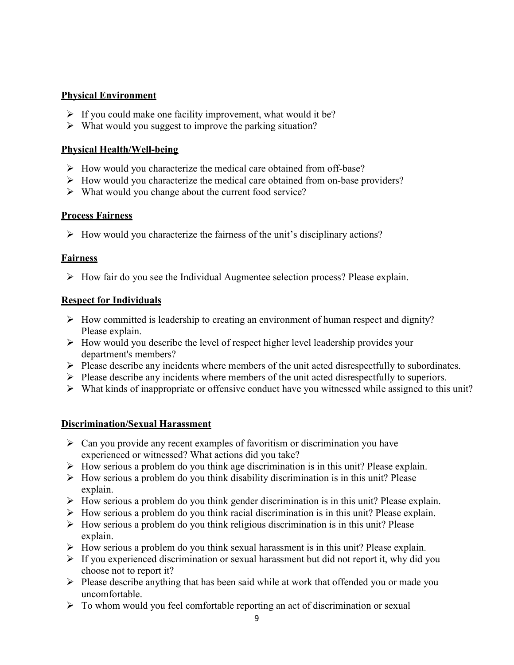## Physical Environment

- $\triangleright$  If you could make one facility improvement, what would it be?
- $\triangleright$  What would you suggest to improve the parking situation?

## Physical Health/Well-being

- $\triangleright$  How would you characterize the medical care obtained from off-base?
- $\triangleright$  How would you characterize the medical care obtained from on-base providers?
- $\triangleright$  What would you change about the current food service?

## Process Fairness

 $\triangleright$  How would you characterize the fairness of the unit's disciplinary actions?

## **Fairness**

 $\triangleright$  How fair do you see the Individual Augmentee selection process? Please explain.

## Respect for Individuals

- $\triangleright$  How committed is leadership to creating an environment of human respect and dignity? Please explain.
- $\triangleright$  How would you describe the level of respect higher level leadership provides your department's members?
- $\triangleright$  Please describe any incidents where members of the unit acted disrespectfully to subordinates.
- $\triangleright$  Please describe any incidents where members of the unit acted disrespectfully to superiors.
- $\triangleright$  What kinds of inappropriate or offensive conduct have you witnessed while assigned to this unit?

# Discrimination/Sexual Harassment

- $\triangleright$  Can you provide any recent examples of favoritism or discrimination you have experienced or witnessed? What actions did you take?
- $\triangleright$  How serious a problem do you think age discrimination is in this unit? Please explain.
- $\triangleright$  How serious a problem do you think disability discrimination is in this unit? Please explain.
- $\triangleright$  How serious a problem do you think gender discrimination is in this unit? Please explain.
- $\triangleright$  How serious a problem do you think racial discrimination is in this unit? Please explain.
- $\triangleright$  How serious a problem do you think religious discrimination is in this unit? Please explain.
- $\triangleright$  How serious a problem do you think sexual harassment is in this unit? Please explain.
- $\triangleright$  If you experienced discrimination or sexual harassment but did not report it, why did you choose not to report it?
- $\triangleright$  Please describe anything that has been said while at work that offended you or made you uncomfortable.
- $\triangleright$  To whom would you feel comfortable reporting an act of discrimination or sexual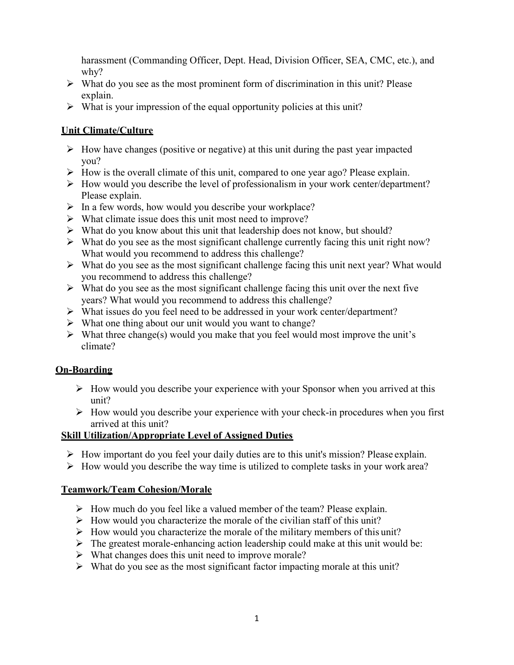harassment (Commanding Officer, Dept. Head, Division Officer, SEA, CMC, etc.), and why?

- $\triangleright$  What do you see as the most prominent form of discrimination in this unit? Please explain.
- $\triangleright$  What is your impression of the equal opportunity policies at this unit?

## Unit Climate/Culture

- $\triangleright$  How have changes (positive or negative) at this unit during the past year impacted you?
- $\triangleright$  How is the overall climate of this unit, compared to one year ago? Please explain.
- $\triangleright$  How would you describe the level of professionalism in your work center/department? Please explain.
- $\triangleright$  In a few words, how would you describe your workplace?
- $\triangleright$  What climate issue does this unit most need to improve?
- $\triangleright$  What do you know about this unit that leadership does not know, but should?
- $\triangleright$  What do you see as the most significant challenge currently facing this unit right now? What would you recommend to address this challenge?
- $\triangleright$  What do you see as the most significant challenge facing this unit next year? What would you recommend to address this challenge?
- $\triangleright$  What do you see as the most significant challenge facing this unit over the next five years? What would you recommend to address this challenge?
- What issues do you feel need to be addressed in your work center/department?
- $\triangleright$  What one thing about our unit would you want to change?
- $\triangleright$  What three change(s) would you make that you feel would most improve the unit's climate?

# On-Boarding

- $\triangleright$  How would you describe your experience with your Sponsor when you arrived at this unit?
- $\triangleright$  How would you describe your experience with your check-in procedures when you first arrived at this unit?

## Skill Utilization/Appropriate Level of Assigned Duties

- $\triangleright$  How important do you feel your daily duties are to this unit's mission? Please explain.
- $\triangleright$  How would you describe the way time is utilized to complete tasks in your work area?

# Teamwork/Team Cohesion/Morale

- $\triangleright$  How much do you feel like a valued member of the team? Please explain.
- $\triangleright$  How would you characterize the morale of the civilian staff of this unit?
- $\triangleright$  How would you characterize the morale of the military members of this unit?
- $\triangleright$  The greatest morale-enhancing action leadership could make at this unit would be:
- $\triangleright$  What changes does this unit need to improve morale?
- $\triangleright$  What do you see as the most significant factor impacting morale at this unit?